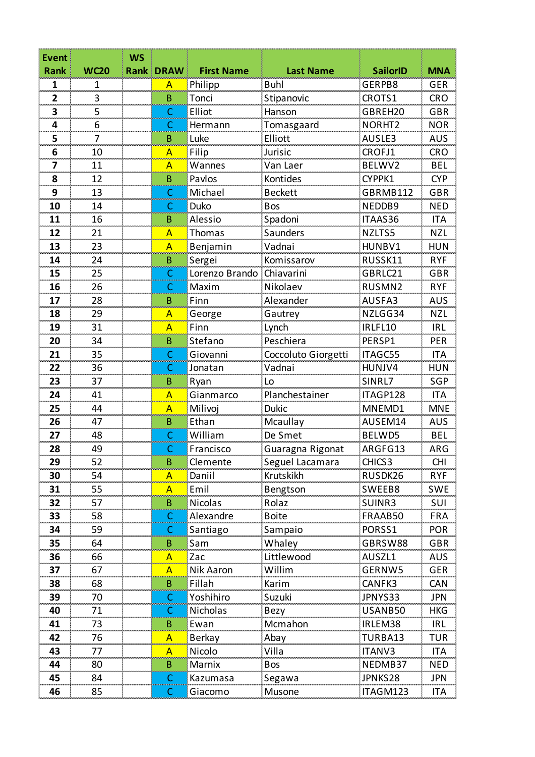| <b>Event</b> |             | <b>WS</b> |                  |                           |                     |                 |            |
|--------------|-------------|-----------|------------------|---------------------------|---------------------|-----------------|------------|
| <b>Rank</b>  | <b>WC20</b> |           | <b>Rank DRAW</b> | <b>First Name</b>         | <b>Last Name</b>    | <b>SailorID</b> | <b>MNA</b> |
| 1            | 1           |           | A                | Philipp                   | <b>Buhl</b>         | GERPB8          | <b>GER</b> |
| 2            | 3           |           | В                | Tonci                     | Stipanovic          | CROTS1          | <b>CRO</b> |
| 3            | 5           |           |                  | Elliot                    | Hanson              | GBREH20         | GBR        |
| 4            | 6           |           | C                | Hermann                   | Tomasgaard          | NORHT2          | <b>NOR</b> |
| 5            | 7           |           | B                | Luke                      | Elliott             | AUSLE3          | <b>AUS</b> |
| 6            | 10          |           | А                | Filip                     | Jurisic             | CROFJ1          | <b>CRO</b> |
| 7            | 11          |           | А                | Wannes                    | Van Laer            | BELWV2          | <b>BEL</b> |
| 8            | 12          |           | B                | Pavlos                    | Kontides            | CYPPK1          | <b>CYP</b> |
| 9            | 13          |           |                  | Michael                   | <b>Beckett</b>      | GBRMB112        | <b>GBR</b> |
| 10           | 14          |           | C                | Duko                      | <b>Bos</b>          | NEDDB9          | <b>NED</b> |
| 11           | 16          |           | B                | Alessio                   | Spadoni             | ITAAS36         | <b>ITA</b> |
| 12           | 21          |           | A                | Thomas                    | Saunders            | NZLTS5          | <b>NZL</b> |
| 13           | 23          |           | $\overline{A}$   | Benjamin                  | Vadnai              | HUNBV1          | <b>HUN</b> |
| 14           | 24          |           | B                | Sergei                    | Komissarov          | RUSSK11         | <b>RYF</b> |
| 15           | 25          |           | C                | Lorenzo Brando Chiavarini |                     | GBRLC21         | <b>GBR</b> |
| 16           | 26          |           | C                | Maxim                     | Nikolaev            | RUSMN2          | <b>RYF</b> |
| 17           | 28          |           | B                | Finn                      | Alexander           | AUSFA3          | AUS        |
| 18           | 29          |           | Α                | George                    | Gautrey             | NZLGG34         | <b>NZL</b> |
| 19           | 31          |           | $\overline{A}$   | Finn                      | Lynch               | IRLFL10         | IRL        |
| 20           | 34          |           | B                | Stefano                   | Peschiera           | PERSP1          | PER        |
| 21           | 35          |           | C                | Giovanni                  | Coccoluto Giorgetti | ITAGC55         | <b>ITA</b> |
| 22           | 36          |           | C                | Jonatan                   | Vadnai              | HUNJV4          | <b>HUN</b> |
| 23           | 37          |           | B                | Ryan                      | Lo                  | SINRL7          | SGP        |
| 24           | 41          |           | A                | Gianmarco                 | Planchestainer      | ITAGP128        | <b>ITA</b> |
| 25           | 44          |           | A                | Milivoj                   | <b>Dukic</b>        | MNEMD1          | <b>MNE</b> |
| 26           | 47          |           | B                | Ethan                     | Mcaullay            | AUSEM14         | <b>AUS</b> |
| 27           | 48          |           |                  | William                   | De Smet             | BELWD5          | BEL        |
| 28           | 49          |           |                  | Francisco                 | Guaragna Rigonat    | ARGFG13         | ARG        |
| 29           | 52          |           | B                | Clemente                  | Seguel Lacamara     | CHICS3          | <b>CHI</b> |
| 30           | 54          |           | $\mathsf{A}$     | Daniil                    | Krutskikh           | RUSDK26         | <b>RYF</b> |
| 31           | 55          |           | A                | Emil                      | Bengtson            | SWEEB8          | <b>SWE</b> |
| 32           | 57          |           | B                | Nicolas                   | Rolaz               | SUINR3          | SUI        |
| 33           | 58          |           | C                | Alexandre                 | <b>Boite</b>        | FRAAB50         | <b>FRA</b> |
| 34           | 59          |           | С                | Santiago                  | Sampaio             | PORSS1          | <b>POR</b> |
| 35           | 64          |           | B                | Sam                       | Whaley              | GBRSW88         | <b>GBR</b> |
| 36           | 66          |           | A                | Zac                       | Littlewood          | AUSZL1          | <b>AUS</b> |
| 37           | 67          |           | A                | Nik Aaron                 | Willim              | GERNW5          | GER        |
| 38           | 68          |           | B                | Fillah                    | Karim               | CANFK3          | CAN        |
| 39           | 70          |           | С                | Yoshihiro                 | Suzuki              | JPNYS33         | <b>JPN</b> |
| 40           | 71          |           | C                | Nicholas                  | Bezy                | USANB50         | <b>HKG</b> |
| 41           | 73          |           | B                | Ewan                      | Mcmahon             | IRLEM38         | <b>IRL</b> |
| 42           | 76          |           | $\overline{A}$   | <b>Berkay</b>             | Abay                | TURBA13         | TUR        |
| 43           | 77          |           | $\mathsf{A}$     | Nicolo                    | Villa               | <b>ITANV3</b>   | <b>ITA</b> |
| 44           | 80          |           | B                | Marnix                    | Bos                 | NEDMB37         | <b>NED</b> |
| 45           | 84          |           | C                | Kazumasa                  | Segawa              | JPNKS28         | <b>JPN</b> |
| 46           | 85          |           |                  | Giacomo                   | Musone              | ITAGM123        | <b>ITA</b> |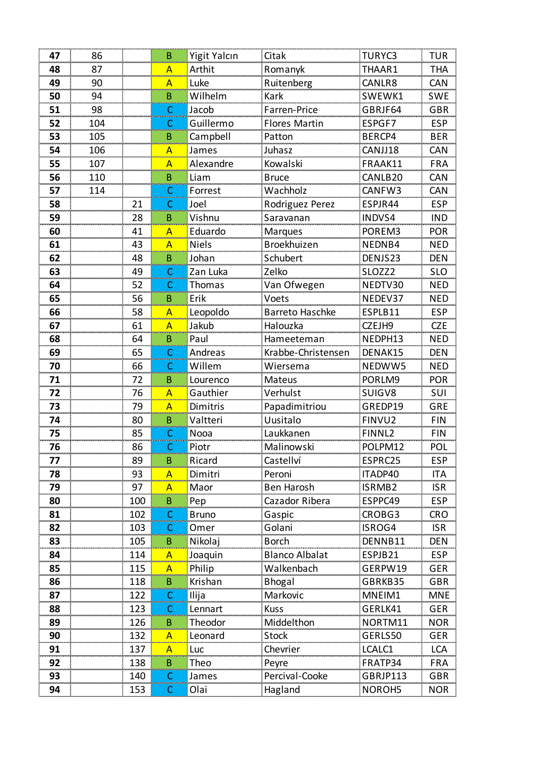| 47 | 86  |     | B              | <b>Yigit Yalcin</b> | Citak                  | TURYC3        | <b>TUR</b>                     |
|----|-----|-----|----------------|---------------------|------------------------|---------------|--------------------------------|
| 48 | 87  |     | A              | Arthit              | Romanyk                | THAAR1        | <b>THA</b>                     |
| 49 | 90  |     | A              | Luke                | Ruitenberg             | CANLR8        | CAN                            |
| 50 | 94  |     | B              | Wilhelm             | Kark                   | SWEWK1        | <b>SWE</b>                     |
| 51 | 98  |     | C              | Jacob               | Farren-Price           | GBRJF64       | <b>GBR</b>                     |
| 52 | 104 |     | C              | Guillermo           | <b>Flores Martin</b>   | ESPGF7        | <b>ESP</b>                     |
| 53 | 105 |     | B              | Campbell            | Patton                 | BERCP4        | <b>BER</b>                     |
| 54 | 106 |     | A              | James               | Juhasz                 | CANJJ18       | CAN                            |
| 55 | 107 |     | A              | Alexandre           | Kowalski               | FRAAK11       | <b>FRA</b>                     |
| 56 | 110 |     | B              | Liam                | <b>Bruce</b>           | CANLB20       | CAN                            |
| 57 | 114 |     | C              | Forrest             | Wachholz               | CANFW3        | CAN                            |
| 58 |     | 21  | C              | Joel                | Rodriguez Perez        | ESPJR44       | <b>ESP</b>                     |
| 59 |     | 28  | B              | Vishnu              | Saravanan              | INDVS4        | <b>IND</b>                     |
| 60 |     | 41  | A              | Eduardo             | <b>Marques</b>         | POREM3        | <b>POR</b>                     |
| 61 |     | 43  | A              | <b>Niels</b>        | Broekhuizen            | NEDNB4        | <b>NED</b>                     |
| 62 |     | 48  | B              | Johan               | Schubert               | DENJS23       | <b>DEN</b>                     |
| 63 |     | 49  | C              | Zan Luka            | Zelko                  | SLOZZ2        | <b>SLO</b>                     |
| 64 |     | 52  | C              | Thomas              | Van Ofwegen            | NEDTV30       | <b>NED</b>                     |
| 65 |     | 56  | B              | Erik                | Voets                  | NEDEV37       | <b>NED</b>                     |
| 66 |     | 58  | A              | Leopoldo            | <b>Barreto Haschke</b> | ESPLB11       | <b>ESP</b>                     |
| 67 |     | 61  | A              | Jakub               | Halouzka               | CZEJH9        | <b>CZE</b>                     |
| 68 |     | 64  | B              | Paul                | Hameeteman             | NEDPH13       | <b>NED</b>                     |
| 69 |     | 65  | C              | Andreas             | Krabbe-Christensen     | DENAK15       | <b>DEN</b>                     |
| 70 |     | 66  | C              | Willem              | Wiersema               | NEDWW5        | <b>NED</b>                     |
| 71 |     | 72  | B              | Lourenco            | Mateus                 | PORLM9        | <b>POR</b>                     |
| 72 |     | 76  | A              | Gauthier            | Verhulst               | SUIGV8        | SUI                            |
| 73 |     | 79  | А              | Dimitris            | Papadimitriou          | GREDP19       | GRE                            |
| 74 |     | 80  | B              | Valtteri            | Uusitalo               | FINVU2        | <b>FIN</b>                     |
| 75 |     | 85  | C              | Nooa                | Laukkanen              | FINNL2        | <b>FIN</b>                     |
| 76 |     | 86  | C              | Piotr               | Malinowski             | POLPM12       | POL                            |
| 77 |     | 89  | B              | Ricard              | Castellví              | ESPRC25       | <b>ESP</b>                     |
| 78 |     | 93  | $\mathsf{A}$   | Dimitri             | Peroni                 | ITADP40       | <b>ITA</b>                     |
| 79 |     | 97  | A              | Maor                | Ben Harosh             | ISRMB2        | <b>ISR</b>                     |
| 80 |     | 100 | B              | Pep                 | Cazador Ribera         | ESPPC49       | <b>ESP</b>                     |
| 81 |     | 102 | С              | <b>Bruno</b>        | Gaspic                 | CROBG3        | CRO                            |
| 82 |     | 103 | C              | Omer                | Golani                 | ISROG4        | <b>ISR</b>                     |
| 83 |     | 105 | B              | Nikolaj             | <b>Borch</b>           | DENNB11       | <b>DEN</b>                     |
| 84 |     | 114 | $\overline{A}$ | Joaquin             | <b>Blanco Albalat</b>  | ESPJB21       | <b>ESP</b>                     |
| 85 |     | 115 | A              | Philip              | Walkenbach             | GERPW19       | GER                            |
| 86 |     | 118 | $\sf{B}$       | Krishan             | <b>Bhogal</b>          | GBRKB35       | GBR                            |
| 87 |     | 122 | C              | Ilija               | Markovic               | MNEIM1        | <b>MNE</b>                     |
| 88 |     | 123 | C              | Lennart             | <b>Kuss</b>            | GERLK41       | $rac{1}{\sqrt{1-\frac{1}{2}}}$ |
| 89 |     | 126 | B              | Theodor             | Middelthon             | NORTM11       | <b>NOR</b>                     |
| 90 |     | 132 | $\mathsf{A}$   | Leonard             | <b>Stock</b>           | GERLS50       | GER                            |
| 91 |     | 137 | A              | Luc                 | Chevrier               | LCALC1        | <b>LCA</b>                     |
| 92 |     | 138 | $\mathsf B$    | Theo                | Peyre                  | FRATP34       | FRA                            |
| 93 |     | 140 | C              | James               | Percival-Cooke         | GBRJP113      | GBR                            |
| 94 |     | 153 | C              | Olai                | Hagland                | <b>NOROH5</b> | <b>NOR</b>                     |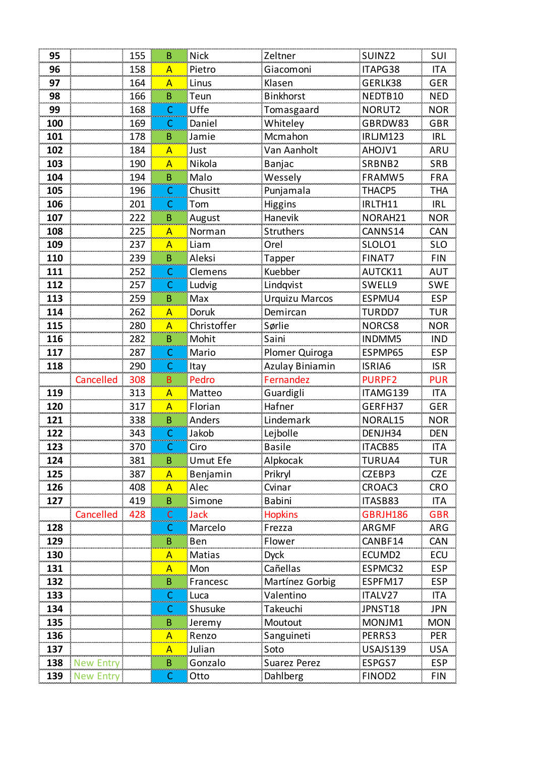| 95  |                  | 155 | B              | <b>Nick</b> | Zeltner          | SUINZ <sub>2</sub> | SUI            |
|-----|------------------|-----|----------------|-------------|------------------|--------------------|----------------|
| 96  |                  | 158 | A              | Pietro      | Giacomoni        | ITAPG38            | <b>ITA</b>     |
| 97  |                  | 164 | A              | Linus       | Klasen           | GERLK38            | <b>GER</b>     |
| 98  |                  | 166 | B              | Teun        | Binkhorst        | NEDTB10            | <b>NED</b>     |
| 99  |                  | 168 | C              | Uffe        | Tomasgaard       | NORUT2             | <b>NOR</b>     |
| 100 |                  | 169 | C              | Daniel      | Whiteley         | GBRDW83            | <b>GBR</b>     |
| 101 |                  | 178 | B              | Jamie       | Mcmahon          | <b>IRLJM123</b>    | <b>IRL</b>     |
| 102 |                  | 184 | A              | Just        | Van Aanholt      | AHOJV1             | ARU            |
| 103 |                  | 190 | A              | Nikola      | Banjac           | SRBNB2             | SRB            |
| 104 |                  | 194 | B              | Malo        | Wessely          | FRAMW5             | <b>FRA</b>     |
| 105 |                  | 196 | C              | Chusitt     | Punjamala        | THACP5             | <b>THA</b>     |
| 106 |                  | 201 | C              | Tom         | Higgins          | IRLTH11            | <b>IRL</b>     |
| 107 |                  | 222 | B              | August      | Hanevik          | NORAH21            | <b>NOR</b>     |
| 108 |                  | 225 | $\overline{A}$ | Norman      | <b>Struthers</b> | CANNS14            | CAN            |
| 109 |                  | 237 | A              | Liam        | Orel             | SLOLO1             | <b>SLO</b>     |
| 110 |                  | 239 | B              | Aleksi      | Tapper           | FINAT7             | <b>FIN</b>     |
| 111 |                  | 252 | C              | Clemens     | Kuebber          | AUTCK11            | AUT            |
| 112 |                  | 257 | C              | Ludvig      | Lindqvist        | SWELL9             | -------<br>SWE |
| 113 |                  | 259 | B              | Max         | Urquizu Marcos   | ESPMU4             | <b>ESP</b>     |
| 114 |                  | 262 | A              | Doruk       | Demircan         | TURDD7             | <b>TUR</b>     |
| 115 |                  | 280 | А              | Christoffer | Sørlie           | NORCS8             | <b>NOR</b>     |
| 116 |                  | 282 | B              | Mohit       | Saini            | INDMM5             | <b>IND</b>     |
| 117 |                  | 287 | C              | Mario       | Plomer Quiroga   | ESPMP65            | <b>ESP</b>     |
| 118 |                  | 290 | C              | <u>Itay</u> | Azulay Biniamin  | ISRIA6             | <b>ISR</b>     |
|     | Cancelled        | 308 | В              | Pedro       | Fernandez        | <b>PURPF2</b>      | <b>PUR</b>     |
| 119 |                  | 313 | $\mathsf{A}$   | Matteo      | Guardigli        | ITAMG139           | ITA            |
| 120 |                  | 317 | A              | Florian     | Hafner           | GERFH37            | <b>GER</b>     |
| 121 |                  | 338 | B              | Anders      | Lindemark        | NORAL15            | <b>NOR</b>     |
| 122 |                  | 343 | C              | Jakob       | Lejbolle         | DENJH34            | <b>DEN</b>     |
| 123 |                  | 370 |                | Ciro        | <b>Basile</b>    | ITACB85            | ITA            |
| 124 |                  | 381 | B              | Umut Efe    | Alpkocak         | TURUA4             | TUR            |
| 125 |                  | 387 | A              | Benjamin    | <u>Prikryl</u>   | CZEBP3             | CZE            |
| 126 |                  | 408 | A              | Alec        | Cvinar           | CROAC3             | <b>CRO</b>     |
| 127 |                  | 419 | B              | Simone      | <b>Babini</b>    | ITASB83            | ITA            |
|     | elled            | 428 | C              | Jack        | <b>Hopkins</b>   | GBRJH186           | <b>GBR</b>     |
| 128 |                  |     | C              | Marcelo     | Frezza           | ARGMF              | ARG            |
| 129 |                  |     | B              | Ben         | Flower           | CANBF14            | CAN            |
| 130 |                  |     | Α              | Matias      | <b>Dyck</b>      | ECUMD <sub>2</sub> | ECU            |
| 131 |                  |     | A              | Mon         | Cañellas         | ESPMC32            | <b>ESP</b>     |
| 132 |                  |     | B              | Francesc    | Martínez Gorbig  | ESPFM17            | <b>ESP</b>     |
| 133 |                  |     |                | Luca        | Valentino        | <b>ITALV27</b>     | <b>ITA</b>     |
| 134 |                  |     |                | Shusuke     | Takeuchi         | JPNST18            | <b>JPN</b>     |
| 135 |                  |     | В              | Jeremy      | Moutout          | MONJM1             | <b>MON</b>     |
| 136 |                  |     | A              | Renzo       | Sanguineti       | PERRS3             | PER            |
| 137 |                  |     | $\overline{A}$ | Julian      | Soto             | <b>USAJS139</b>    | <b>USA</b>     |
| 138 | <b>New Entry</b> |     | B              | Gonzalo     | Suarez Perez     | ESPGS7             | <b>ESP</b>     |
| 139 | <b>New Entry</b> |     | C              | Otto        | Dahlberg         | FINOD <sub>2</sub> | <b>FIN</b>     |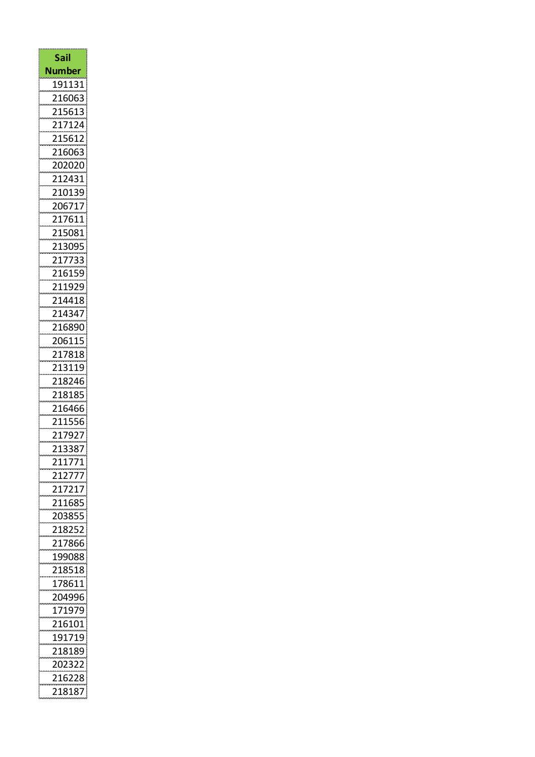| I                                                                                           |
|---------------------------------------------------------------------------------------------|
|                                                                                             |
| Î,                                                                                          |
| ĺ                                                                                           |
| I                                                                                           |
|                                                                                             |
|                                                                                             |
|                                                                                             |
|                                                                                             |
|                                                                                             |
|                                                                                             |
|                                                                                             |
|                                                                                             |
|                                                                                             |
|                                                                                             |
|                                                                                             |
|                                                                                             |
|                                                                                             |
| I                                                                                           |
|                                                                                             |
|                                                                                             |
|                                                                                             |
|                                                                                             |
|                                                                                             |
|                                                                                             |
|                                                                                             |
|                                                                                             |
|                                                                                             |
|                                                                                             |
|                                                                                             |
|                                                                                             |
| 1                                                                                           |
|                                                                                             |
| i<br>I                                                                                      |
|                                                                                             |
|                                                                                             |
|                                                                                             |
|                                                                                             |
|                                                                                             |
|                                                                                             |
|                                                                                             |
|                                                                                             |
| )                                                                                           |
|                                                                                             |
|                                                                                             |
|                                                                                             |
| l                                                                                           |
| Í                                                                                           |
| ۱                                                                                           |
| ξ                                                                                           |
|                                                                                             |
| ٤<br>ξ                                                                                      |
| i<br>,<br>į<br>į<br>ľ<br>֧֧ׅ֧ׅ֧֧֧ׅ֧֧֧ׅ֧֧֛֛֛֛֛֛֛֚֚֚֚֚֚֚֚֚֚֚֚֚֚֚֚֚֚֚֚֚֚֚֚֚֚֬֝֓֜֓֜֓֝֓֝֓֜֜֝֬֜֜֜ |
|                                                                                             |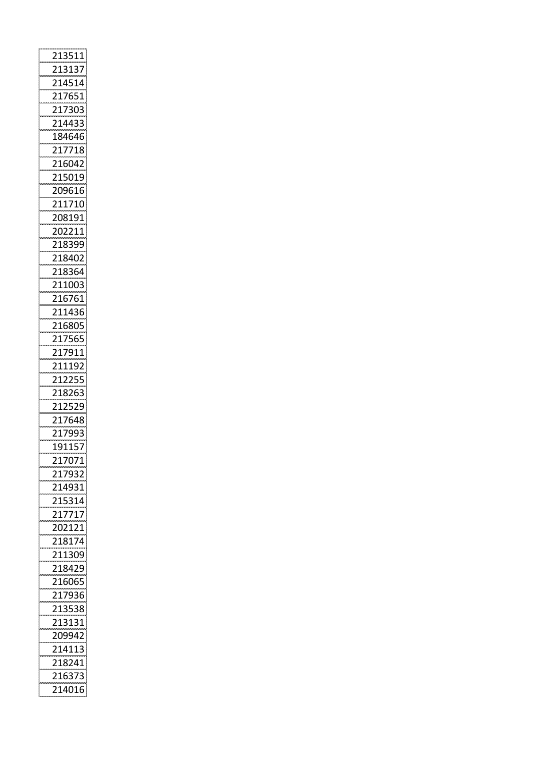|                                                |                |                |     |     | 13511                                                                                            |
|------------------------------------------------|----------------|----------------|-----|-----|--------------------------------------------------------------------------------------------------|
|                                                |                |                |     |     |                                                                                                  |
|                                                |                | 1313           |     |     |                                                                                                  |
|                                                |                |                |     |     |                                                                                                  |
|                                                |                | 4514           |     |     | 1                                                                                                |
|                                                |                |                |     |     |                                                                                                  |
|                                                |                |                | '6  | ŗ   |                                                                                                  |
|                                                |                |                |     |     |                                                                                                  |
|                                                | $\frac{21}{2}$ |                |     |     | 303                                                                                              |
|                                                |                |                |     |     |                                                                                                  |
|                                                |                |                |     |     |                                                                                                  |
|                                                |                |                |     |     |                                                                                                  |
|                                                |                | 846            |     | i46 |                                                                                                  |
|                                                |                |                |     |     |                                                                                                  |
|                                                |                |                |     |     |                                                                                                  |
|                                                |                |                |     |     |                                                                                                  |
|                                                |                | 216042         |     |     |                                                                                                  |
|                                                |                |                |     |     |                                                                                                  |
|                                                |                | 215019         |     |     |                                                                                                  |
|                                                |                |                |     |     |                                                                                                  |
|                                                |                |                |     |     | 209616                                                                                           |
|                                                |                |                |     |     |                                                                                                  |
|                                                |                | 117            |     |     | 710                                                                                              |
|                                                |                |                |     |     |                                                                                                  |
|                                                |                | 208191         |     |     |                                                                                                  |
|                                                |                |                |     |     |                                                                                                  |
|                                                |                | 202211         |     |     |                                                                                                  |
|                                                |                |                |     |     |                                                                                                  |
|                                                |                | 218399         |     |     |                                                                                                  |
|                                                |                |                |     |     |                                                                                                  |
|                                                |                | <u> 218402</u> |     |     |                                                                                                  |
|                                                |                |                |     |     |                                                                                                  |
|                                                |                |                |     |     | 218364                                                                                           |
|                                                |                |                |     |     |                                                                                                  |
|                                                |                | 11003          |     |     |                                                                                                  |
|                                                |                |                |     |     |                                                                                                  |
|                                                |                | 16761          |     |     |                                                                                                  |
|                                                |                |                |     |     |                                                                                                  |
|                                                |                |                |     |     | 11436                                                                                            |
|                                                |                |                |     |     |                                                                                                  |
|                                                |                | 216805         |     |     |                                                                                                  |
|                                                |                |                |     |     |                                                                                                  |
|                                                | 17             |                | 565 |     |                                                                                                  |
|                                                | $\mathbf{1}$   |                |     |     |                                                                                                  |
|                                                |                |                |     |     |                                                                                                  |
|                                                |                |                |     | 911 |                                                                                                  |
|                                                |                |                |     |     |                                                                                                  |
|                                                |                | 11             |     | ŗ   |                                                                                                  |
|                                                |                |                |     |     |                                                                                                  |
| $\lambda$                                      |                | 122            |     |     | p<br>ć                                                                                           |
|                                                |                |                |     |     |                                                                                                  |
|                                                |                |                | 26  |     |                                                                                                  |
|                                                |                |                |     |     |                                                                                                  |
|                                                |                |                |     |     |                                                                                                  |
|                                                |                |                |     | 48  |                                                                                                  |
|                                                |                | 217(           |     |     |                                                                                                  |
|                                                |                |                |     |     | 217993                                                                                           |
|                                                |                |                |     |     |                                                                                                  |
|                                                | 91             |                |     | 5   |                                                                                                  |
|                                                |                |                |     |     |                                                                                                  |
|                                                |                |                |     |     |                                                                                                  |
|                                                |                |                |     |     | į<br>217071                                                                                      |
|                                                |                |                |     |     |                                                                                                  |
|                                                |                |                |     |     |                                                                                                  |
|                                                |                |                |     |     |                                                                                                  |
|                                                |                |                |     |     |                                                                                                  |
|                                                |                |                |     |     |                                                                                                  |
|                                                |                |                |     |     |                                                                                                  |
|                                                |                |                |     |     |                                                                                                  |
|                                                |                |                |     |     |                                                                                                  |
|                                                |                |                |     |     |                                                                                                  |
| 217932<br>214931<br>215314<br>217717<br>202121 |                |                |     |     |                                                                                                  |
|                                                |                |                |     |     |                                                                                                  |
|                                                |                |                |     |     |                                                                                                  |
|                                                |                |                |     |     |                                                                                                  |
|                                                |                |                |     |     |                                                                                                  |
|                                                |                |                |     |     |                                                                                                  |
|                                                |                |                |     |     |                                                                                                  |
|                                                |                |                |     |     |                                                                                                  |
|                                                |                |                |     |     |                                                                                                  |
|                                                |                |                |     |     |                                                                                                  |
|                                                |                |                |     |     |                                                                                                  |
|                                                |                |                |     |     |                                                                                                  |
|                                                |                |                |     |     |                                                                                                  |
|                                                |                |                |     |     |                                                                                                  |
|                                                |                |                |     |     |                                                                                                  |
|                                                |                |                |     |     |                                                                                                  |
|                                                |                |                |     |     |                                                                                                  |
|                                                |                |                |     |     | 202121<br>218174<br>211309<br>218429<br>216065<br>217936<br>213538<br>213131<br>209942<br>214113 |
|                                                |                |                |     |     |                                                                                                  |
|                                                |                |                |     |     |                                                                                                  |
|                                                |                |                |     |     |                                                                                                  |
|                                                |                |                |     |     | 214113<br>218241<br>216373<br>214016                                                             |